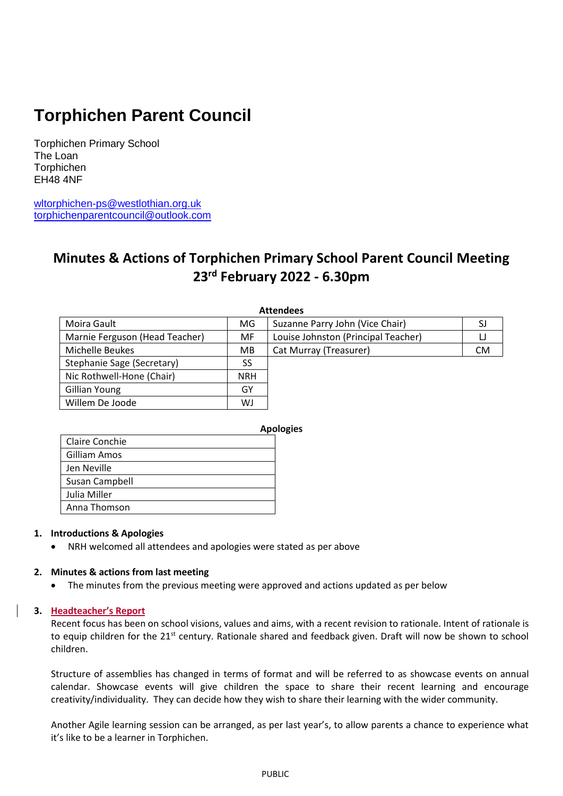# **Torphichen Parent Council**

Torphichen Primary School The Loan Torphichen EH48 4NF

[wltorphichen-ps@westlothian.org.uk](mailto:wltorphichen-ps@westlothian.org.uk) [torphichenparentcouncil@outlook.com](mailto:torphichenparentcouncil@outlook.com)

# **Minutes & Actions of Torphichen Primary School Parent Council Meeting 23rd February 2022 - 6.30pm**

| <b>Attendees</b>               |            |                                       |           |  |  |  |
|--------------------------------|------------|---------------------------------------|-----------|--|--|--|
| Moira Gault                    | MG.        | Suzanne Parry John (Vice Chair)<br>SJ |           |  |  |  |
| Marnie Ferguson (Head Teacher) | MF         | Louise Johnston (Principal Teacher)   |           |  |  |  |
| Michelle Beukes                | MB.        | Cat Murray (Treasurer)                | <b>CM</b> |  |  |  |
| Stephanie Sage (Secretary)     | SS         |                                       |           |  |  |  |
| Nic Rothwell-Hone (Chair)      | <b>NRH</b> |                                       |           |  |  |  |
| <b>Gillian Young</b>           | GY         |                                       |           |  |  |  |
| Willem De Joode                | WJ         |                                       |           |  |  |  |

|                | <b>Apologies</b> |  |
|----------------|------------------|--|
| Claire Conchie |                  |  |
| Gilliam Amos   |                  |  |
| Jen Neville    |                  |  |
| Susan Campbell |                  |  |
| Julia Miller   |                  |  |
| Anna Thomson   |                  |  |

### **1. Introductions & Apologies**

NRH welcomed all attendees and apologies were stated as per above

### **2. Minutes & actions from last meeting**

The minutes from the previous meeting were approved and actions updated as per below

### **3. Headteacher's Report**

Recent focus has been on school visions, values and aims, with a recent revision to rationale. Intent of rationale is to equip children for the 21<sup>st</sup> century. Rationale shared and feedback given. Draft will now be shown to school children.

Structure of assemblies has changed in terms of format and will be referred to as showcase events on annual calendar. Showcase events will give children the space to share their recent learning and encourage creativity/individuality. They can decide how they wish to share their learning with the wider community.

Another Agile learning session can be arranged, as per last year's, to allow parents a chance to experience what it's like to be a learner in Torphichen.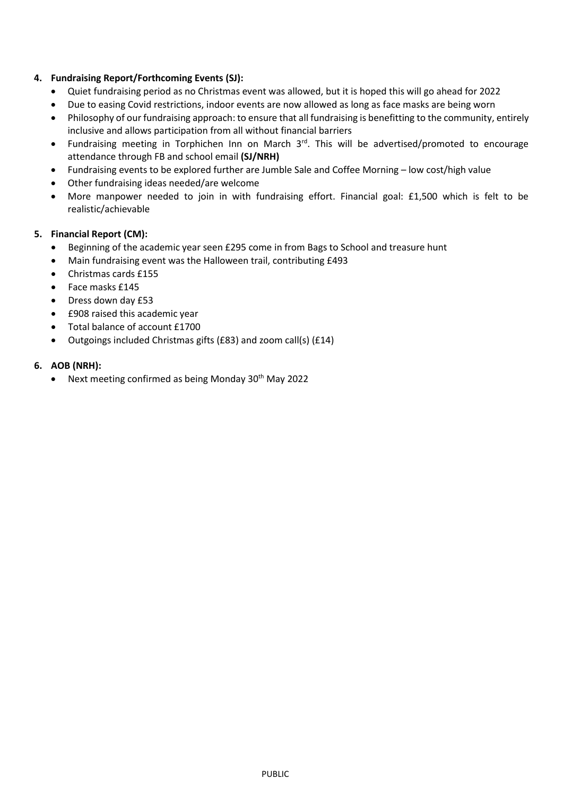## **4. Fundraising Report/Forthcoming Events (SJ):**

- Quiet fundraising period as no Christmas event was allowed, but it is hoped this will go ahead for 2022
- Due to easing Covid restrictions, indoor events are now allowed as long as face masks are being worn
- Philosophy of our fundraising approach: to ensure that all fundraising is benefitting to the community, entirely inclusive and allows participation from all without financial barriers
- Fundraising meeting in Torphichen Inn on March 3<sup>rd</sup>. This will be advertised/promoted to encourage attendance through FB and school email **(SJ/NRH)**
- Fundraising events to be explored further are Jumble Sale and Coffee Morning low cost/high value
- Other fundraising ideas needed/are welcome
- More manpower needed to join in with fundraising effort. Financial goal: £1,500 which is felt to be realistic/achievable

## **5. Financial Report (CM):**

- Beginning of the academic year seen £295 come in from Bags to School and treasure hunt
- Main fundraising event was the Halloween trail, contributing £493
- Christmas cards £155
- Face masks £145
- Dress down day £53
- £908 raised this academic year
- Total balance of account £1700
- Outgoings included Christmas gifts (£83) and zoom call(s) (£14)

### **6. AOB (NRH):**

Next meeting confirmed as being Monday 30th May 2022